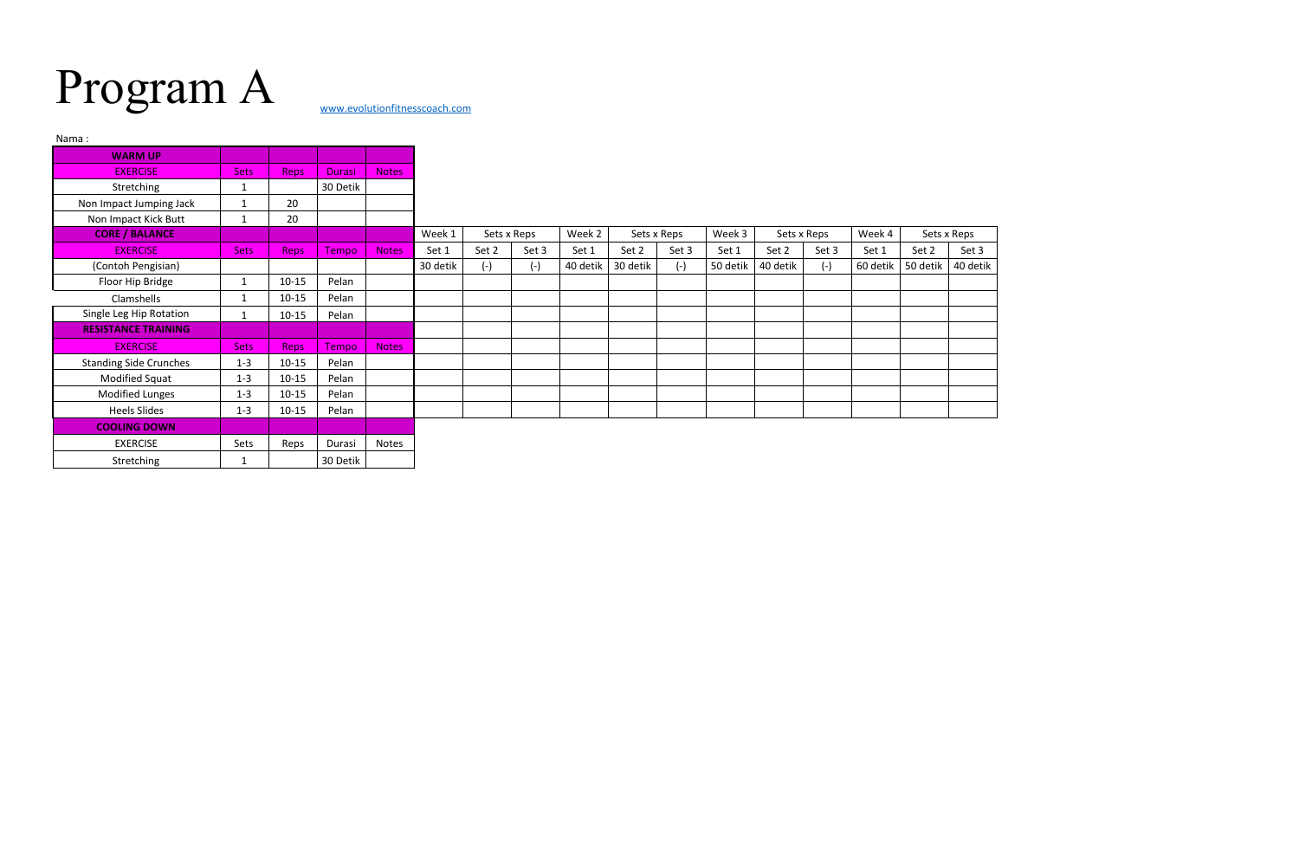## Program A [www.evolutionfitnesscoach.com](http://www.evolutionfitnesscoach.com/)

| Nama:                         |              |             |               |              |          |             |       |          |             |       |          |             |       |          |             |          |
|-------------------------------|--------------|-------------|---------------|--------------|----------|-------------|-------|----------|-------------|-------|----------|-------------|-------|----------|-------------|----------|
| <b>WARM UP</b>                |              |             |               |              |          |             |       |          |             |       |          |             |       |          |             |          |
| <b>EXERCISE</b>               | <b>Sets</b>  | Reps        | <b>Durasi</b> | <b>Notes</b> |          |             |       |          |             |       |          |             |       |          |             |          |
| Stretching                    | 1            |             | 30 Detik      |              |          |             |       |          |             |       |          |             |       |          |             |          |
| Non Impact Jumping Jack       | 1            | 20          |               |              |          |             |       |          |             |       |          |             |       |          |             |          |
| Non Impact Kick Butt          | $\mathbf 1$  | 20          |               |              |          |             |       |          |             |       |          |             |       |          |             |          |
| <b>CORE / BALANCE</b>         |              |             |               |              | Week 1   | Sets x Reps |       | Week 2   | Sets x Reps |       | Week 3   | Sets x Reps |       | Week 4   | Sets x Reps |          |
| <b>EXERCISE</b>               | <b>Sets</b>  | <b>Reps</b> | Tempo         | <b>Notes</b> | Set 1    | Set 2       | Set 3 | Set 1    | Set 2       | Set 3 | Set 1    | Set 2       | Set 3 | Set 1    | Set 2       | Set 3    |
| (Contoh Pengisian)            |              |             |               |              | 30 detik | $(-)$       | $(-)$ | 40 detik | 30 detik    | $(-)$ | 50 detik | 40 detik    | $(-)$ | 60 detik | 50 detik    | 40 detik |
| Floor Hip Bridge              | $\mathbf{1}$ | $10 - 15$   | Pelan         |              |          |             |       |          |             |       |          |             |       |          |             |          |
| Clamshells                    | $\mathbf 1$  | $10 - 15$   | Pelan         |              |          |             |       |          |             |       |          |             |       |          |             |          |
| Single Leg Hip Rotation       | $\mathbf{1}$ | $10 - 15$   | Pelan         |              |          |             |       |          |             |       |          |             |       |          |             |          |
| <b>RESISTANCE TRAINING</b>    |              |             |               |              |          |             |       |          |             |       |          |             |       |          |             |          |
| <b>EXERCISE</b>               | <b>Sets</b>  | Reps        | Tempo         | <b>Notes</b> |          |             |       |          |             |       |          |             |       |          |             |          |
| <b>Standing Side Crunches</b> | $1 - 3$      | $10 - 15$   | Pelan         |              |          |             |       |          |             |       |          |             |       |          |             |          |
| Modified Squat                | $1 - 3$      | $10 - 15$   | Pelan         |              |          |             |       |          |             |       |          |             |       |          |             |          |
| <b>Modified Lunges</b>        | $1 - 3$      | $10 - 15$   | Pelan         |              |          |             |       |          |             |       |          |             |       |          |             |          |
| <b>Heels Slides</b>           | $1 - 3$      | $10 - 15$   | Pelan         |              |          |             |       |          |             |       |          |             |       |          |             |          |
| <b>COOLING DOWN</b>           |              |             |               |              |          |             |       |          |             |       |          |             |       |          |             |          |
| <b>EXERCISE</b>               | Sets         | Reps        | Durasi        | Notes        |          |             |       |          |             |       |          |             |       |          |             |          |
| Stretching                    | 1            |             | 30 Detik      |              |          |             |       |          |             |       |          |             |       |          |             |          |